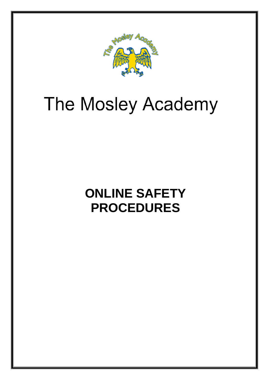

# The Mosley Academy

## **ONLINE SAFETY PROCEDURES**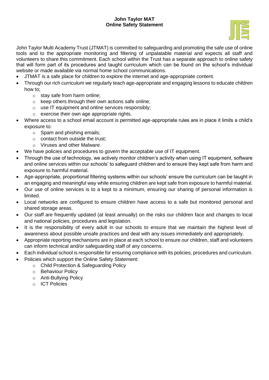#### **John Taylor MAT Online Safety Statement**



John Taylor Multi Academy Trust (JTMAT) is committed to safeguarding and promoting the safe use of online tools and to the appropriate monitoring and filtering of unpalatable material and expects all staff and volunteers to share this commitment. Each school within the Trust has a separate approach to online safety that will form part of its procedures and taught curriculum which can be found on the school's individual website or made available via normal home school communications.

- JTMAT is a safe place for children to explore the internet and age-appropriate content.
- Through our rich curriculum we regularly teach age-appropriate and engaging lessons to educate children how to;
	- o stay safe from harm online;
	- o keep others through their own actions safe online;
	- $\circ$  use IT equipment and online services responsibly;
	- o exercise their own age appropriate rights.
- Where access to a school email account is permitted age-appropriate rules are in place it limits a child's exposure to:
	- o Spam and phishing emails;
	- $\circ$  contact from outside the trust:
	- o Viruses and other Malware.
- We have policies and procedures to govern the acceptable use of IT equipment.
- Through the use of technology, we actively monitor children's activity when using IT equipment, software and online services within our schools' to safeguard children and to ensure they kept safe from harm and exposure to harmful material.
- Age-appropriate, proportional filtering systems within our schools' ensure the curriculum can be taught in an engaging and meaningful way while ensuring children are kept safe from exposure to harmful material.
- Our use of online services is to a kept to a minimum, ensuring our sharing of personal information is limited.
- Local networks are configured to ensure children have access to a safe but monitored personal and shared storage areas.
- Our staff are frequently updated (at least annually) on the risks our children face and changes to local and national policies, procedures and legislation.
- It is the responsibility of every adult in our schools to ensure that we maintain the highest level of awareness about possible unsafe practices and deal with any issues immediately and appropriately.
- Appropriate reporting mechanisms are in place at each school to ensure our children, staff and volunteers can inform technical and/or safeguarding staff of any concerns.
- Each individual school is responsible for ensuring compliance with its policies, procedures and curriculum.
	- Policies which support the Online Safety Statement:
		- o Child Protection & Safeguarding Policy
		- o Behaviour Policy
		- o Anti-Bullying Policy
		- o ICT Policies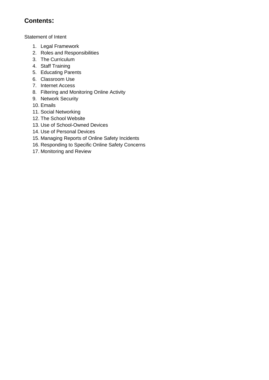### **Contents:**

Statement of Intent

- 1. Legal Framework
- 2. Roles and Responsibilities
- 3. The Curriculum
- 4. Staff Training
- 5. Educating Parents
- 6. Classroom Use
- 7. Internet Access
- 8. Filtering and Monitoring Online Activity
- 9. Network Security
- 10. Emails
- 11. Social Networking
- 12. The School Website
- 13. Use of School-Owned Devices
- 14. Use of Personal Devices
- 15. Managing Reports of Online Safety Incidents
- 16. Responding to Specific Online Safety Concerns
- 17. Monitoring and Review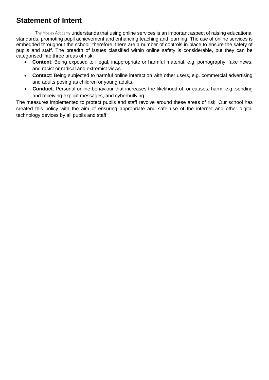### **Statement of Intent**

The Mosley Academy understands that using online services is an important aspect of raising educational standards, promoting pupil achievement and enhancing teaching and learning. The use of online services is embedded throughout the school; therefore, there are a number of controls in place to ensure the safety of pupils and staff. The breadth of issues classified within online safety is considerable, but they can be categorised into three areas of risk:

- **Content**: Being exposed to illegal, inappropriate or harmful material, e.g. pornography, fake news, and racist or radical and extremist views.
- **Contact**: Being subjected to harmful online interaction with other users, e.g. commercial advertising and adults posing as children or young adults.
- **Conduct**: Personal online behaviour that increases the likelihood of, or causes, harm, e.g. sending and receiving explicit messages, and cyberbullying.

The measures implemented to protect pupils and staff revolve around these areas of risk. Our school has created this policy with the aim of ensuring appropriate and safe use of the internet and other digital technology devices by all pupils and staff.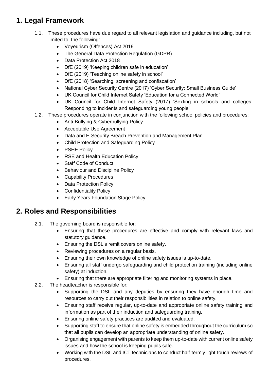### **1. Legal Framework**

- 1.1. These procedures have due regard to all relevant legislation and guidance including, but not limited to, the following:
	- Voyeurism (Offences) Act 2019
	- The General Data Protection Regulation (GDPR)
	- Data Protection Act 2018
	- DfE (2019) 'Keeping children safe in education'
	- DfE (2019) 'Teaching online safety in school'
	- DfE (2018) 'Searching, screening and confiscation'
	- National Cyber Security Centre (2017) 'Cyber Security: Small Business Guide'
	- UK Council for Child Internet Safety 'Education for a Connected World'
	- UK Council for Child Internet Safety (2017) 'Sexting in schools and colleges: Responding to incidents and safeguarding young people'
- 1.2. These procedures operate in conjunction with the following school policies and procedures:
	- Anti-Bullying & Cyberbullying Policy
	- Acceptable Use Agreement
	- Data and E-Security Breach Prevention and Management Plan
	- Child Protection and Safeguarding Policy
	- PSHE Policy
	- RSE and Health Education Policy
	- Staff Code of Conduct
	- Behaviour and Discipline Policy
	- Capability Procedures
	- Data Protection Policy
	- Confidentiality Policy
	- Early Years Foundation Stage Policy

### **2. Roles and Responsibilities**

- 2.1. The governing board is responsible for:
	- Ensuring that these procedures are effective and comply with relevant laws and statutory guidance.
	- **Ensuring the DSL's remit covers online safety.**
	- Reviewing procedures on a regular basis.
	- Ensuring their own knowledge of online safety issues is up-to-date.
	- Ensuring all staff undergo safeguarding and child protection training (including online safety) at induction.
	- Ensuring that there are appropriate filtering and monitoring systems in place.
- 2.2. The headteacher is responsible for:
	- Supporting the DSL and any deputies by ensuring they have enough time and resources to carry out their responsibilities in relation to online safety.
	- Ensuring staff receive regular, up-to-date and appropriate online safety training and information as part of their induction and safeguarding training.
	- Ensuring online safety practices are audited and evaluated.
	- Supporting staff to ensure that online safety is embedded throughout the curriculum so that all pupils can develop an appropriate understanding of online safety.
	- Organising engagement with parents to keep them up-to-date with current online safety issues and how the school is keeping pupils safe.
	- Working with the DSL and ICT technicians to conduct half-termly light-touch reviews of procedures.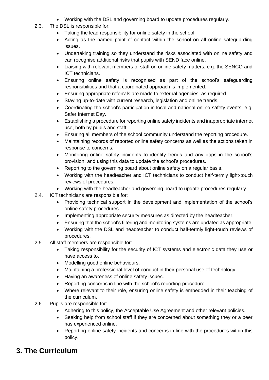- Working with the DSL and governing board to update procedures regularly.
- 2.3. The DSL is responsible for:
	- Taking the lead responsibility for online safety in the school.
	- Acting as the named point of contact within the school on all online safeguarding issues.
	- Undertaking training so they understand the risks associated with online safety and can recognise additional risks that pupils with SEND face online.
	- Liaising with relevant members of staff on online safety matters, e.g. the SENCO and ICT technicians.
	- Ensuring online safety is recognised as part of the school's safeguarding responsibilities and that a coordinated approach is implemented.
	- Ensuring appropriate referrals are made to external agencies, as required.
	- Staying up-to-date with current research, legislation and online trends.
	- Coordinating the school's participation in local and national online safety events, e.g. Safer Internet Day.
	- Establishing a procedure for reporting online safety incidents and inappropriate internet use, both by pupils and staff.
	- Ensuring all members of the school community understand the reporting procedure.
	- Maintaining records of reported online safety concerns as well as the actions taken in response to concerns.
	- Monitoring online safety incidents to identify trends and any gaps in the school's provision, and using this data to update the school's procedures.
	- Reporting to the governing board about online safety on a regular basis.
	- Working with the headteacher and ICT technicians to conduct half-termly light-touch reviews of procedures.
	- Working with the headteacher and governing board to update procedures regularly.
- 2.4. ICT technicians are responsible for:
	- Providing technical support in the development and implementation of the school's online safety procedures.
	- Implementing appropriate security measures as directed by the headteacher.
	- Ensuring that the school's filtering and monitoring systems are updated as appropriate.
	- Working with the DSL and headteacher to conduct half-termly light-touch reviews of procedures.
- 2.5. All staff members are responsible for:
	- Taking responsibility for the security of ICT systems and electronic data they use or have access to.
	- Modelling good online behaviours.
	- Maintaining a professional level of conduct in their personal use of technology.
	- Having an awareness of online safety issues.
	- Reporting concerns in line with the school's reporting procedure.
	- Where relevant to their role, ensuring online safety is embedded in their teaching of the curriculum.
- 2.6. Pupils are responsible for:
	- Adhering to this policy, the Acceptable Use Agreement and other relevant policies.
	- Seeking help from school staff if they are concerned about something they or a peer has experienced online.
	- Reporting online safety incidents and concerns in line with the procedures within this policy.

### **3. The Curriculum**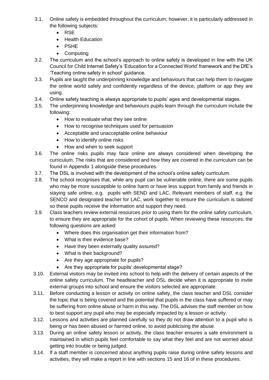- 3.1. Online safety is embedded throughout the curriculum; however, it is particularly addressed in the following subjects:
	- RSE
	- Health Education
	- PSHE
	- Computing
- 3.2. The curriculum and the school's approach to online safety is developed in line with the UK Council for Child Internet Safety's 'Education for a Connected World' framework and the DfE's 'Teaching online safety in school' guidance.
- 3.3. Pupils are taught the underpinning knowledge and behaviours that can help them to navigate the online world safely and confidently regardless of the device, platform or app they are using.
- 3.4. Online safety teaching is always appropriate to pupils' ages and developmental stages.
- 3.5. The underpinning knowledge and behaviours pupils learn through the curriculum include the following:
	- How to evaluate what they see online
	- How to recognise techniques used for persuasion
	- Acceptable and unacceptable online behaviour
	- How to identify online risks
	- How and when to seek support
- 3.6. The online risks pupils may face online are always considered when developing the curriculum. The risks that are considered and how they are covered in the curriculum can be found in Appendix 1 alongside these procedures.
- 3.7. The DSL is involved with the development of the school's online safety curriculum.
- 3.8. The school recognises that, while any pupil can be vulnerable online, there are some pupils who may be more susceptible to online harm or have less support from family and friends in staying safe online, e.g. pupils with SEND and LAC. Relevant members of staff, e.g. the SENCO and designated teacher for LAC, work together to ensure the curriculum is tailored so these pupils receive the information and support they need.
- 3.9. Class teachers review external resources prior to using them for the online safety curriculum, to ensure they are appropriate for the cohort of pupils. When reviewing these resources, the following questions are asked:
	- Where does this organisation get their information from?
	- What is their evidence base?
	- Have they been externally quality assured?
	- What is their background?
	- Are they age appropriate for pupils?
	- Are they appropriate for pupils' developmental stage?
- 3.10. External visitors may be invited into school to help with the delivery of certain aspects of the online safety curriculum. The headteacher and DSL decide when it is appropriate to invite external groups into school and ensure the visitors selected are appropriate.
- 3.11. Before conducting a lesson or activity on online safety, the class teacher and DSL consider the topic that is being covered and the potential that pupils in the class have suffered or may be suffering from online abuse or harm in this way. The DSL advises the staff member on how to best support any pupil who may be especially impacted by a lesson or activity.
- 3.12. Lessons and activities are planned carefully so they do not draw attention to a pupil who is being or has been abused or harmed online, to avoid publicising the abuse.
- 3.13. During an online safety lesson or activity, the class teacher ensures a safe environment is maintained in which pupils feel comfortable to say what they feel and are not worried about getting into trouble or being judged.
- 3.14. If a staff member is concerned about anything pupils raise during online safety lessons and activities, they will make a report in line with sections [15](#page-11-0) and [16](#page-12-0) of in these procedures.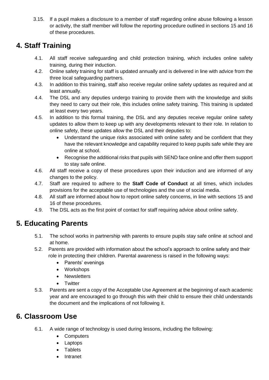3.15. If a pupil makes a disclosure to a member of staff regarding online abuse following a lesson or activity, the staff member will follow the reporting procedure outlined in sections [15](#page-11-0) and [16](#page-12-0) of these procedures.

### **4. Staff Training**

- 4.1. All staff receive safeguarding and child protection training, which includes online safety training, during their induction.
- 4.2. Online safety training for staff is updated annually and is delivered in line with advice from the three local safeguarding partners.
- 4.3. In addition to this training, staff also receive regular online safety updates as required and at least annually.
- 4.4. The DSL and any deputies undergo training to provide them with the knowledge and skills they need to carry out their role, this includes online safety training. This training is updated at least every two years.
- 4.5. In addition to this formal training, the DSL and any deputies receive regular online safety updates to allow them to keep up with any developments relevant to their role. In relation to online safety, these updates allow the DSL and their deputies to:
	- Understand the unique risks associated with online safety and be confident that they have the relevant knowledge and capability required to keep pupils safe while they are online at school.
	- Recognise the additional risks that pupils with SEND face online and offer them support to stay safe online.
- 4.6. All staff receive a copy of these procedures upon their induction and are informed of any changes to the policy.
- 4.7. Staff are required to adhere to the **Staff Code of Conduct** at all times, which includes provisions for the acceptable use of technologies and the use of social media.
- 4.8. All staff are informed about how to report online safety concerns, in line with sections [15](#page-11-0) and [16](#page-12-0) of these procedures.
- 4.9. The DSL acts as the first point of contact for staff requiring advice about online safety.

### **5. Educating Parents**

- 5.1. The school works in partnership with parents to ensure pupils stay safe online at school and at home.
- 5.2. Parents are provided with information about the school's approach to online safety and their role in protecting their children. Parental awareness is raised in the following ways:
	- Parents' evenings
	- Workshops
	- Newsletters
	- Twitter
- 5.3. Parents are sent a copy of the Acceptable Use Agreement at the beginning of each academic year and are encouraged to go through this with their child to ensure their child understands the document and the implications of not following it.

### **6. Classroom Use**

- 6.1. A wide range of technology is used during lessons, including the following:
	- Computers
	- Laptops
	- Tablets
	- Intranet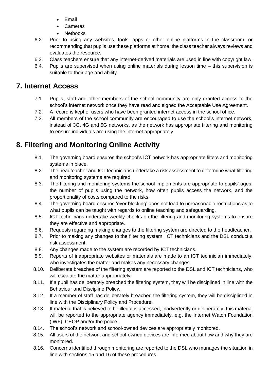- Email
- Cameras
- **Nethooks**
- 6.2. Prior to using any websites, tools, apps or other online platforms in the classroom, or recommending that pupils use these platforms at home, the class teacher always reviews and evaluates the resource.
- 6.3. Class teachers ensure that any internet-derived materials are used in line with copyright law.
- 6.4. Pupils are supervised when using online materials during lesson time this supervision is suitable to their age and ability.

### **7. Internet Access**

- 7.1. Pupils, staff and other members of the school community are only granted access to the school's internet network once they have read and signed the Acceptable Use Agreement.
- 7.2. A record is kept of users who have been granted internet access in the school office.
- 7.3. All members of the school community are encouraged to use the school's internet network, instead of 3G, 4G and 5G networks, as the network has appropriate filtering and monitoring to ensure individuals are using the internet appropriately.

### **8. Filtering and Monitoring Online Activity**

- 8.1. The governing board ensures the school's ICT network has appropriate filters and monitoring systems in place.
- 8.2. The headteacher and ICT technicians undertake a risk assessment to determine what filtering and monitoring systems are required.
- 8.3. The filtering and monitoring systems the school implements are appropriate to pupils' ages, the number of pupils using the network, how often pupils access the network, and the proportionality of costs compared to the risks.
- 8.4. The governing board ensures 'over blocking' does not lead to unreasonable restrictions as to what pupils can be taught with regards to online teaching and safeguarding.
- 8.5. ICT technicians undertake weekly checks on the filtering and monitoring systems to ensure they are effective and appropriate.
- 8.6. Requests regarding making changes to the filtering system are directed to the headteacher.
- 8.7. Prior to making any changes to the filtering system, ICT technicians and the DSL conduct a risk assessment.
- 8.8. Any changes made to the system are recorded by ICT technicians.
- 8.9. Reports of inappropriate websites or materials are made to an ICT technician immediately, who investigates the matter and makes any necessary changes.
- 8.10. Deliberate breaches of the filtering system are reported to the DSL and ICT technicians, who will escalate the matter appropriately.
- 8.11. If a pupil has deliberately breached the filtering system, they will be disciplined in line with the Behaviour and Discipline Policy.
- 8.12. If a member of staff has deliberately breached the filtering system, they will be disciplined in line with the Disciplinary Policy and Procedure.
- 8.13. If material that is believed to be illegal is accessed, inadvertently or deliberately, this material will be reported to the appropriate agency immediately, e.g. the Internet Watch Foundation (IWF), CEOP and/or the police.
- 8.14. The school's network and school-owned devices are appropriately monitored.
- 8.15. All users of the network and school-owned devices are informed about how and why they are monitored.
- 8.16. Concerns identified through monitoring are reported to the DSL who manages the situation in line with sections [15](#page-11-0) and [16](#page-12-0) of these procedures.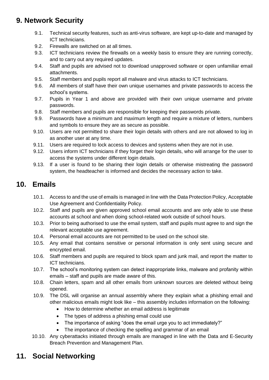### **9. Network Security**

- 9.1. Technical security features, such as anti-virus software, are kept up-to-date and managed by ICT technicians.
- 9.2. Firewalls are switched on at all times.
- 9.3. ICT technicians review the firewalls on a weekly basis to ensure they are running correctly, and to carry out any required updates.
- 9.4. Staff and pupils are advised not to download unapproved software or open unfamiliar email attachments.
- 9.5. Staff members and pupils report all malware and virus attacks to ICT technicians.
- 9.6. All members of staff have their own unique usernames and private passwords to access the school's systems.
- 9.7. Pupils in Year 1 and above are provided with their own unique username and private passwords.
- 9.8. Staff members and pupils are responsible for keeping their passwords private.
- 9.9. Passwords have a minimum and maximum length and require a mixture of letters, numbers and symbols to ensure they are as secure as possible.
- 9.10. Users are not permitted to share their login details with others and are not allowed to log in as another user at any time.
- 9.11. Users are required to lock access to devices and systems when they are not in use.
- 9.12. Users inform ICT technicians if they forget their login details, who will arrange for the user to access the systems under different login details.
- 9.13. If a user is found to be sharing their login details or otherwise mistreating the password system, the headteacher is informed and decides the necessary action to take.

### **10. Emails**

- 10.1. Access to and the use of emails is managed in line with the Data Protection Policy, Acceptable Use Agreement and Confidentiality Policy.
- 10.2. Staff and pupils are given approved school email accounts and are only able to use these accounts at school and when doing school-related work outside of school hours.
- 10.3. Prior to being authorised to use the email system, staff and pupils must agree to and sign the relevant acceptable use agreement.
- 10.4. Personal email accounts are not permitted to be used on the school site.
- 10.5. Any email that contains sensitive or personal information is only sent using secure and encrypted email.
- 10.6. Staff members and pupils are required to block spam and junk mail, and report the matter to ICT technicians.
- 10.7. The school's monitoring system can detect inappropriate links, malware and profanity within emails – staff and pupils are made aware of this.
- 10.8. Chain letters, spam and all other emails from unknown sources are deleted without being opened.
- 10.9. The DSL will organise an annual assembly where they explain what a phishing email and other malicious emails might look like – this assembly includes information on the following:
	- How to determine whether an email address is legitimate
	- The types of address a phishing email could use
	- The importance of asking "does the email urge you to act immediately?"
	- The importance of checking the spelling and grammar of an email
- 10.10. Any cyberattacks initiated through emails are managed in line with the Data and E-Security Breach Prevention and Management Plan.

### **11. Social Networking**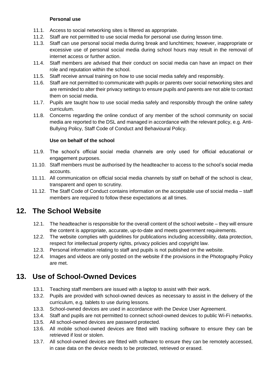#### **Personal use**

- 11.1. Access to social networking sites is filtered as appropriate.
- 11.2. Staff are not permitted to use social media for personal use during lesson time.
- 11.3. Staff can use personal social media during break and lunchtimes; however, inappropriate or excessive use of personal social media during school hours may result in the removal of internet access or further action.
- 11.4. Staff members are advised that their conduct on social media can have an impact on their role and reputation within the school.
- 11.5. Staff receive annual training on how to use social media safely and responsibly.
- 11.6. Staff are not permitted to communicate with pupils or parents over social networking sites and are reminded to alter their privacy settings to ensure pupils and parents are not able to contact them on social media.
- 11.7. Pupils are taught how to use social media safely and responsibly through the online safety curriculum.
- 11.8. Concerns regarding the online conduct of any member of the school community on social media are reported to the DSL and managed in accordance with the relevant policy, e.g. Anti-Bullying Policy, Staff Code of Conduct and Behavioural Policy.

#### **Use on behalf of the school**

- 11.9. The school's official social media channels are only used for official educational or engagement purposes.
- 11.10. Staff members must be authorised by the headteacher to access to the school's social media accounts.
- 11.11. All communication on official social media channels by staff on behalf of the school is clear, transparent and open to scrutiny.
- 11.12. The Staff Code of Conduct contains information on the acceptable use of social media staff members are required to follow these expectations at all times.

### **12. The School Website**

- 12.1. The headteacher is responsible for the overall content of the school website they will ensure the content is appropriate, accurate, up-to-date and meets government requirements.
- 12.2. The website complies with guidelines for publications including accessibility, data protection, respect for intellectual property rights, privacy policies and copyright law.
- 12.3. Personal information relating to staff and pupils is not published on the website.
- 12.4. Images and videos are only posted on the website if the provisions in the Photography Policy are met.

### **13. Use of School-Owned Devices**

- 13.1. Teaching staff members are issued with a laptop to assist with their work.
- 13.2. Pupils are provided with school-owned devices as necessary to assist in the delivery of the curriculum, e.g. tablets to use during lessons.
- 13.3. School-owned devices are used in accordance with the Device User Agreement.
- 13.4. Staff and pupils are not permitted to connect school-owned devices to public Wi-Fi networks.
- 13.5. All school-owned devices are password protected.
- 13.6. All mobile school-owned devices are fitted with tracking software to ensure they can be retrieved if lost or stolen.
- 13.7. All school-owned devices are fitted with software to ensure they can be remotely accessed, in case data on the device needs to be protected, retrieved or erased.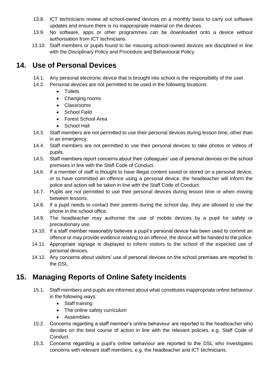- 13.8. ICT technicians review all school-owned devices on a monthly basis to carry out software updates and ensure there is no inappropriate material on the devices.
- 13.9. No software, apps or other programmes can be downloaded onto a device without authorisation from ICT technicians.
- 13.10. Staff members or pupils found to be misusing school-owned devices are disciplined in line with the Disciplinary Policy and Procedure and Behavioural Policy.

### **14. Use of Personal Devices**

- 14.1. Any personal electronic device that is brought into school is the responsibility of the user.
- 14.2. Personal devices are not permitted to be used in the following locations:
	- **•** Toilets
	- Changing rooms
	- Classrooms
	- **•** School Field
	- Forest School Area
	- School Hall
- 14.3. Staff members are not permitted to use their personal devices during lesson time, other than in an emergency.
- 14.4. Staff members are not permitted to use their personal devices to take photos or videos of pupils.
- 14.5. Staff members report concerns about their colleagues' use of personal devices on the school premises in line with the Staff Code of Conduct.
- 14.6. If a member of staff is thought to have illegal content saved or stored on a personal device, or to have committed an offence using a personal device, the headteacher will inform the police and action will be taken in line with the Staff Code of Conduct.
- 14.7. Pupils are not permitted to use their personal devices during lesson time or when moving between lessons.
- 14.8. If a pupil needs to contact their parents during the school day, they are allowed to use the phone in the school office.
- 14.9. The headteacher may authorise the use of mobile devices by a pupil for safety or precautionary use.
- 14.10. If a staff member reasonably believes a pupil's personal device has been used to commit an offence or may provide evidence relating to an offence, the device will be handed to the police.
- 14.11. Appropriate signage is displayed to inform visitors to the school of the expected use of personal devices.
- 14.12. Any concerns about visitors' use of personal devices on the school premises are reported to the DSL.

### <span id="page-11-0"></span>**15. Managing Reports of Online Safety Incidents**

- 15.1. Staff members and pupils are informed about what constitutes inappropriate online behaviour in the following ways:
	- Staff training
	- The online safety curriculum
	- **•** Assemblies
- 15.2. Concerns regarding a staff member's online behaviour are reported to the headteacher who decides on the best course of action in line with the relevant policies, e.g. Staff Code of Conduct.
- 15.3. Concerns regarding a pupil's online behaviour are reported to the DSL who investigates concerns with relevant staff members, e.g. the headteacher and ICT technicians.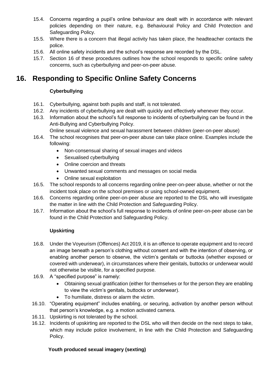- 15.4. Concerns regarding a pupil's online behaviour are dealt with in accordance with relevant policies depending on their nature, e.g. Behavioural Policy and Child Protection and Safeguarding Policy.
- 15.5. Where there is a concern that illegal activity has taken place, the headteacher contacts the police.
- 15.6. All online safety incidents and the school's response are recorded by the DSL.
- 15.7. [Section 16](#page-12-0) of these procedures outlines how the school responds to specific online safety concerns, such as cyberbullying and peer-on-peer abuse.

### <span id="page-12-0"></span>**16. Responding to Specific Online Safety Concerns**

#### **Cyberbullying**

- 16.1. Cyberbullying, against both pupils and staff, is not tolerated.
- 16.2. Any incidents of cyberbullying are dealt with quickly and effectively whenever they occur.
- 16.3. Information about the school's full response to incidents of cyberbullying can be found in the Anti-Bullying and Cyberbullying Policy.

Online sexual violence and sexual harassment between children (peer-on-peer abuse)

- 16.4. The school recognises that peer-on-peer abuse can take place online. Examples include the following:
	- Non-consensual sharing of sexual images and videos
	- Sexualised cyberbullying
	- Online coercion and threats
	- Unwanted sexual comments and messages on social media
	- Online sexual exploitation
- 16.5. The school responds to all concerns regarding online peer-on-peer abuse, whether or not the incident took place on the school premises or using school-owned equipment.
- 16.6. Concerns regarding online peer-on-peer abuse are reported to the DSL who will investigate the matter in line with the Child Protection and Safeguarding Policy.
- 16.7. Information about the school's full response to incidents of online peer-on-peer abuse can be found in the Child Protection and Safeguarding Policy.

#### **Upskirting**

- 16.8. Under the Voyeurism (Offences) Act 2019, it is an offence to operate equipment and to record an image beneath a person's clothing without consent and with the intention of observing, or enabling another person to observe, the victim's genitals or buttocks (whether exposed or covered with underwear), in circumstances where their genitals, buttocks or underwear would not otherwise be visible, for a specified purpose.
- 16.9. A "specified purpose" is namely:
	- Obtaining sexual gratification (either for themselves or for the person they are enabling to view the victim's genitals, buttocks or underwear).
	- To humiliate, distress or alarm the victim.
- 16.10. "Operating equipment" includes enabling, or securing, activation by another person without that person's knowledge, e.g. a motion activated camera.
- 16.11. Upskirting is not tolerated by the school.
- 16.12. Incidents of upskirting are reported to the DSL who will then decide on the next steps to take, which may include police involvement, in line with the Child Protection and Safeguarding Policy.

#### **Youth produced sexual imagery (sexting)**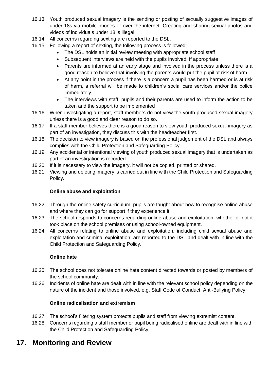- 16.13. Youth produced sexual imagery is the sending or posting of sexually suggestive images of under-18s via mobile phones or over the internet. Creating and sharing sexual photos and videos of individuals under 18 is illegal.
- 16.14. All concerns regarding sexting are reported to the DSL.
- 16.15. Following a report of sexting, the following process is followed:
	- The DSL holds an initial review meeting with appropriate school staff
	- Subsequent interviews are held with the pupils involved, if appropriate
	- Parents are informed at an early stage and involved in the process unless there is a good reason to believe that involving the parents would put the pupil at risk of harm
	- At any point in the process if there is a concern a pupil has been harmed or is at risk of harm, a referral will be made to children's social care services and/or the police immediately
	- The interviews with staff, pupils and their parents are used to inform the action to be taken and the support to be implemented
- 16.16. When investigating a report, staff members do not view the youth produced sexual imagery unless there is a good and clear reason to do so.
- 16.17. If a staff member believes there is a good reason to view youth produced sexual imagery as part of an investigation, they discuss this with the headteacher first.
- 16.18. The decision to view imagery is based on the professional judgement of the DSL and always complies with the Child Protection and Safeguarding Policy.
- 16.19. Any accidental or intentional viewing of youth produced sexual imagery that is undertaken as part of an investigation is recorded.
- 16.20. If it is necessary to view the imagery, it will not be copied, printed or shared.
- 16.21. Viewing and deleting imagery is carried out in line with the Child Protection and Safeguarding Policy.

#### **Online abuse and exploitation**

- 16.22. Through the online safety curriculum, pupils are taught about how to recognise online abuse and where they can go for support if they experience it.
- 16.23. The school responds to concerns regarding online abuse and exploitation, whether or not it took place on the school premises or using school-owned equipment.
- 16.24. All concerns relating to online abuse and exploitation, including child sexual abuse and exploitation and criminal exploitation, are reported to the DSL and dealt with in line with the Child Protection and Safeguarding Policy.

#### **Online hate**

- 16.25. The school does not tolerate online hate content directed towards or posted by members of the school community.
- 16.26. Incidents of online hate are dealt with in line with the relevant school policy depending on the nature of the incident and those involved, e.g. Staff Code of Conduct, Anti-Bullying Policy.

#### **Online radicalisation and extremism**

- 16.27. The school's filtering system protects pupils and staff from viewing extremist content.
- 16.28. Concerns regarding a staff member or pupil being radicalised online are dealt with in line with the Child Protection and Safeguarding Policy.

### **17. Monitoring and Review**